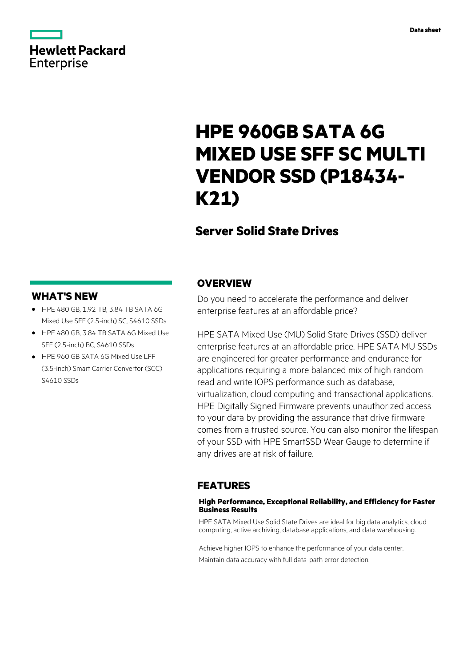# **Hewlett Packard** Enterprise

# **HPE 960GB SATA 6G MIXED USE SFF SC MULTI VENDOR SSD (P18434- K21)**

# **Server Solid State Drives**

# **WHAT'S NEW**

- **·** HPE 480 GB, 1.92 TB, 3.84 TB SATA 6G Mixed Use SFF (2.5-inch) SC, S4610 SSDs
- **·** HPE 480 GB, 3.84 TB SATA 6G Mixed Use SFF (2.5-inch) BC, S4610 SSDs
- **·** HPE 960 GB SATA 6G Mixed Use LFF (3.5-inch) Smart Carrier Convertor (SCC) S4610 SSDs

### **OVERVIEW**

Do you need to accelerate the performance and deliver enterprise features at an affordable price?

HPE SATA Mixed Use (MU) Solid State Drives (SSD) deliver enterprise features at an affordable price. HPE SATA MU SSDs are engineered for greater performance and endurance for applications requiring a more balanced mix of high random read and write IOPS performance such as database, virtualization, cloud computing and transactional applications. HPE Digitally Signed Firmware prevents unauthorized access to your data by providing the assurance that drive firmware comes from a trusted source. You can also monitor the lifespan of your SSD with HPE SmartSSD Wear Gauge to determine if any drives are at risk of failure.

# **FEATURES**

#### **High Performance, Exceptional Reliability, and Efficiency for Faster Business Results**

HPE SATA Mixed Use Solid State Drives are ideal for big data analytics, cloud computing, active archiving, database applications, and data warehousing.

Achieve higher IOPS to enhance the performance of your data center. Maintain data accuracy with full data-path error detection.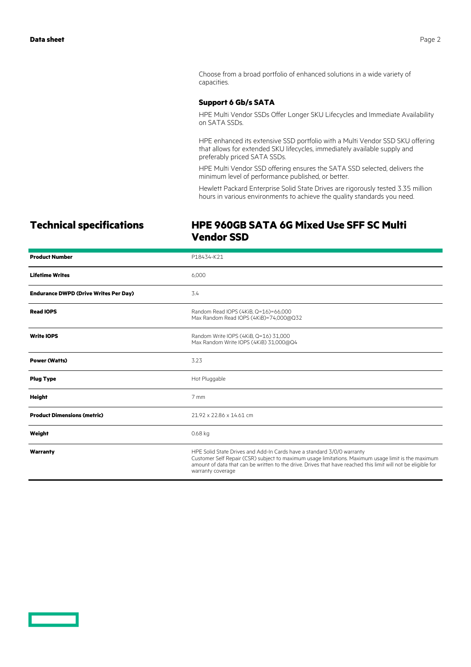Choose from a broad portfolio of enhanced solutions in a wide variety of capacities.

#### **Support 6 Gb/s SATA**

HPE Multi Vendor SSDs Offer Longer SKU Lifecycles and Immediate Availability on SATA SSDs.

HPE enhanced its extensive SSD portfolio with a Multi Vendor SSD SKU offering that allows for extended SKU lifecycles, immediately available supply and preferably priced SATA SSDs.

HPE Multi Vendor SSD offering ensures the SATA SSD selected, delivers the minimum level of performance published, or better.

Hewlett Packard Enterprise Solid State Drives are rigorously tested 3.35 million hours in various environments to achieve the quality standards you need.

# **Technical specifications HPE 960GB SATA 6G Mixed Use SFF SC Multi Vendor SSD**

| <b>Product Number</b>                        | P18434-K21                                                                                                                                                                                                                                                                                                          |
|----------------------------------------------|---------------------------------------------------------------------------------------------------------------------------------------------------------------------------------------------------------------------------------------------------------------------------------------------------------------------|
| <b>Lifetime Writes</b>                       | 6,000                                                                                                                                                                                                                                                                                                               |
| <b>Endurance DWPD (Drive Writes Per Day)</b> | 3.4                                                                                                                                                                                                                                                                                                                 |
| <b>Read IOPS</b>                             | Random Read IOPS (4KiB, Q=16)=66,000<br>Max Random Read IOPS (4KiB)=74,000@Q32                                                                                                                                                                                                                                      |
| <b>Write IOPS</b>                            | Random Write IOPS (4KiB, Q=16) 31,000<br>Max Random Write IOPS (4KiB) 31,000@Q4                                                                                                                                                                                                                                     |
| <b>Power (Watts)</b>                         | 3.23                                                                                                                                                                                                                                                                                                                |
| <b>Plug Type</b>                             | Hot Pluggable                                                                                                                                                                                                                                                                                                       |
| <b>Height</b>                                | $7 \text{ mm}$                                                                                                                                                                                                                                                                                                      |
| <b>Product Dimensions (metric)</b>           | 21.92 x 22.86 x 14.61 cm                                                                                                                                                                                                                                                                                            |
| Weight                                       | 0.68 kg                                                                                                                                                                                                                                                                                                             |
| Warranty                                     | HPE Solid State Drives and Add-In Cards have a standard 3/0/0 warranty<br>Customer Self Repair (CSR) subject to maximum usage limitations. Maximum usage limit is the maximum<br>amount of data that can be written to the drive. Drives that have reached this limit will not be eligible for<br>warranty coverage |